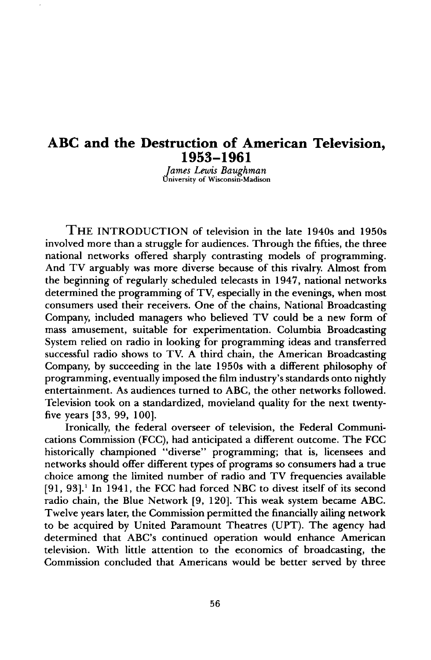## **ABC and the Destruction of American Television, 1953-1961**

**James Lewis Baughman versity of Wisconsin-Madison** 

**THE INTRODUCTION of television in the late 1940s and 1950s involved more than a struggle for audiences. Through the fifties, the three national networks offered sharply contrasting models of programming. And TV arguably was more diverse because of this rivalry. Almost from the beginning of regularly scheduled telecasts in 1947, national networks determined the programming of TV, especially in the evenings, when most consumers used their receivers. One of the chains, National Broadcasting Company, included managers who believed TV could be a new form of mass amusement, suitable for experimentation. Columbia Broadcasting System relied on radio in looking for programming ideas and transferred successful radio shows to TV. A third chain, the American Broadcasting Company, by succeeding in the late 1950s with a different philosophy of programming, eventually imposed the film industry's standards onto nightly entertainment. As audiences turned to ABC, the other networks followed. Television took on a standardized, movieland quality for the next twentyfive years [33, 99, 100].** 

**Ironically, the federal overseer of television, the Federal Communications Commission (FCC), had anticipated a different outcome. The FCC historically championed "diverse" programming; that is, licensees and networks should offer different types of programs so consumers had a true choice among the limited number of radio and TV frequencies available [91, 93]. • In 1941, the FCC had forced NBC to divest itself of its second radio chain, the Blue Network [9, 120]. This weak system became ABC. Twelve years later, the Commission permitted the financially ailing network to be acquired by United Paramount Theatres (UPT). The agency had determined that ABC's continued operation would enhance American television. With little attention to the economics of broadcasting, the Commission concluded that Americans would be better served by three**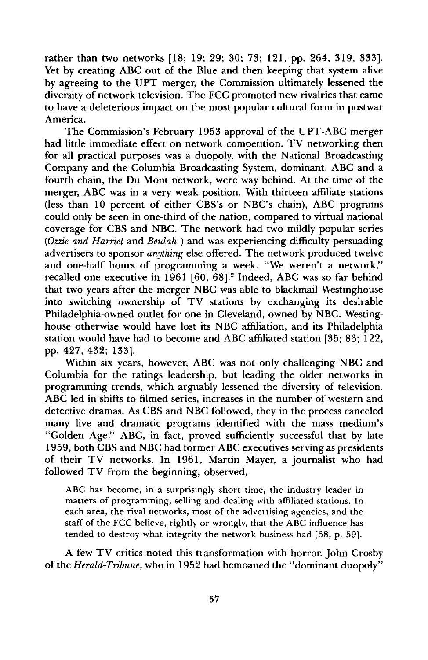**rather than two networks [18; 19; 29; 30; 73; 121, pp. 264, 319, 333]. Yet by creating ABC out of the Blue and then keeping that system alive by agreeing to the UPT merger, the Commission ultimately lessened the diversity of network television. The FCC promoted new rivalries that came to have a deleterious impact on the most popular cultural form in postwar America.** 

**The Commission's February 1953 approval of the UPT-ABC merger had little immediate effect on network competition. TV networking then for all practical purposes was a duopoly, with the National Broadcasting Company and the Columbia Broadcasting System, dominant. ABC and a fourth chain, the Du Mont network, were way behind. At the time of the merger, ABC was in a very weak position. With thirteen affiliate stations (less than 10 percent of either CBS's or NBC's chain), ABC programs could only be seen in one-third of the nation, compared to virtual national coverage for CBS and NBC. The network had two mildly popular series (Ozzie and Harriet and Beulah )and was experiencing difficulty persuading advertisers to sponsor anything else offered. The network produced twelve and one-half hours of programming a week. "We weren't a network," recalled one executive in 1961 [60, 68]. 2 Indeed, ABC was so far behind that two years after the merger NBC was able to blackmail Westinghouse into switching ownership of TV stations by exchanging its desirable Philadelphia-owned outlet for one in Cleveland, owned by NBC. Westinghouse otherwise would have lost its NBC affiliation, and its Philadelphia station would have had to become and ABC affiliated station [35; 83; 122, pp. 427, 432; 133].** 

**Within six years, however, ABC was not only challenging NBC and Columbia for the ratings leadership, but leading the older networks in programming trends, which arguably lessened the diversity of television. ABC led in shifts to filmed series, increases in the number of western and detective dramas. As CBS and NBC followed, they in the process canceled many live and dramatic programs identified with the mass medium's "Golden Age." ABC, in fact, proved sufficiently successful that by late 1959, both CBS and NBC had former ABC executives serving as presidents of their TV networks. In 1961, Martin Mayer, a journalist who had followed TV from the beginning, observed,** 

**ABC has become, in a surprisingly short time, the industry leader in matters of programming, selling and dealing with affiliated stations. In each area, the rival networks, most of the advertising agencies, and the staff of the FCC believe, rightly or wrongly, that the ABC influence has tended to destroy what integrity the network business had [68, p. 59].** 

**A few TV critics noted this transformation with horror. John Crosby of the Herald-Tribune, who in 1952 had bemoaned the "dominant duopoly"**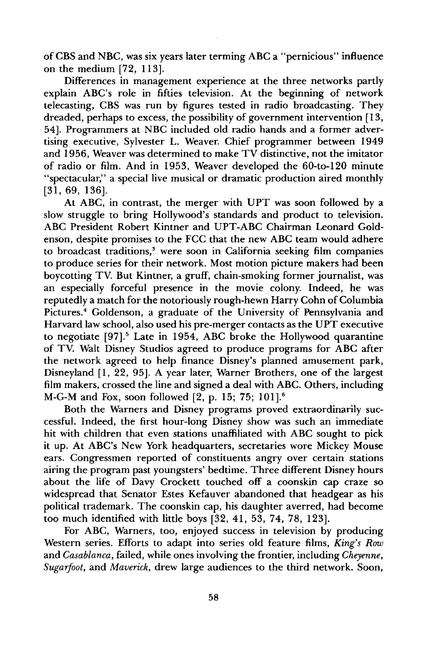**of CBS and NBC, was six years later terming ABC a "pernicious" influence on the medium [72, 113].** 

**Differences in management experience at the three networks partly explain ABC's role in fifties television. At the beginning of network telecasting, CBS was run by figures tested in radio broadcasting. They dreaded, perhaps to excess, the possibility of government intervention [13, 54]. Programmers at NBC included old radio hands and a former advertising executive, Sylvester L. Weaver. Chief programmer between 1949 and 1956, Weaver was determined to make TV distinctive, not the imitator of radio or film. And in 1953, Weaver developed the 60-to-120 minute**  "spectacular," a special live musical or dramatic production aired monthly **[31, 69, 136].** 

**At ABC, in contrast, the merger with UPT was soon followed by a slow struggle to bring Hollywood's standards and product to television.**  ABC President Robert Kintner and UPT-ABC Chairman Leonard Gold**enson, despite promises to the FCC that the new ABC team would adhere**  to broadcast traditions,<sup>3</sup> were soon in California seeking film companies **to produce series for their network. Most motion picture makers had been**  boycotting TV. But Kintner, a gruff, chain-smoking former journalist, was **an especially forceful presence in the movie colony. Indeed, he was reputedly a match for the notoriously rough-hewn Harry Cohn of Columbia**  Pictures.<sup>4</sup> Goldenson, a graduate of the University of Pennsylvania and **Harvard law school, also used his pre-merger contacts as the UPT executive**  to negotiate [97]<sup>5</sup> Late in 1954, ABC broke the Hollywood quarantine **of TV. Wait Disney Studios agreed to produce programs for ABC after the network agreed to help finance Disney's planned amusement park, Disneyland [1, 22, 95]. A year later, Warner Brothers, one of the largest film makers, crossed the line and signed a deal with ABC. Others, including M-G-M and Fox, soon followed [2, p. 15; 75; 101].**<sup>6</sup>

**Both the Warners and Disney programs proved extraordinarily successful. Indeed, the first hour-long Disney show was such an immediate hit with children that even stations unaffiliated with ABC sought to pick it up. At ABC's New York headquarters, secretaries wore Mickey Mouse ears. Congressmen reported of constituents angry over certain stations airing the program past youngsters' bedtime. Three different Disney hours about the life of Davy Crockett touched off a coonskin cap craze so widespread that Senator Estes Kefauver abandoned that headgear as his political trademark. The coonskin cap, his daughter averred, had become too much identified with little boys [32, 41, 53, 74, 78, 123].** 

**For ABC, Warners, too, enjoyed success in television by producing Western series. Efforts to adapt into series old feature films, King's Row**  and *Casablanca*, failed, while ones involving the frontier, including *Cheyenne*, **Sugarfoot, and Maverick, drew large audiences to the third network. Soon,**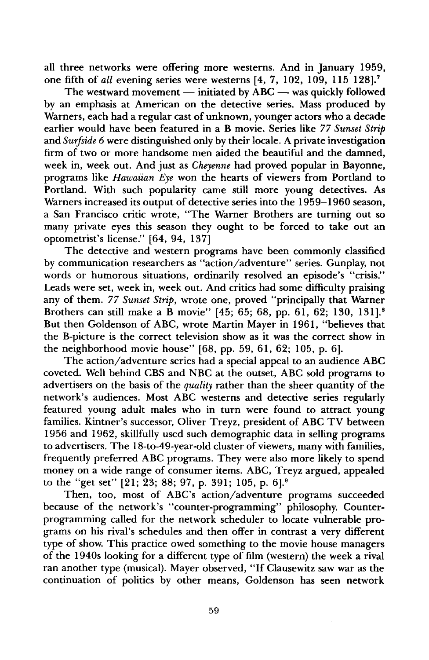**all three networks were offering more westerns. And in January 1959, one fifth of all evening series were westerns [4, 7, 102, 109, 115 128]. 7** 

The westward movement — initiated by ABC — was quickly followed **by an emphasis at American on the detective series. Mass produced by Warners, each had a regular cast of unknown, younger actors who a decade earlier would have been featured in a B movie. Series like 77 Sunset Strip and Surfside 6 were distinguished only by their locale. A private investigation firm of two or more handsome men aided the beautiful and the damned, week in, week out. And just as Cheyenne had proved popular in Bayonne, programs like Hawaiian Eye won the hearts of viewers from Portland to Portland. With such popularity came still more young detectives. As Warners increased its output of detective series into the 1959-1960 season, a San Francisco critic wrote, "The Warner Brothers are turning out so many private eyes this season they ought to be forced to take out an optometrist's license." [64, 94, 137]** 

**The detective and western programs have been commonly classified by communication researchers as "action/adventure" series. Gunplay, not words or humorous situations, ordinarily resolved an episode's "crisis." Leads were set, week in, week out. And critics had some difficulty praising any of them. 77 Sunset Strip, wrote one, proved "principally that Warner Brothers can still make a B movie" [45; 65; 68, pp. 61, 62; 130, 131]. 8 But then Goldenson of ABC, wrote Martin Mayer in 1961, "believes that the B-picture is the correct television show as it was the correct show in the neighborhood movie house" [68, pp. 59, 61, 62; 105, p. 6].** 

**The action/adventure series had a special appeal to an audience ABC coveted. Well behind CBS and NBC at the outset, ABC sold programs to advertisers on the basis of the quality rather than the sheer quantity of the network's audiences. Most ABC westerns and detective series regularly featured young adult males who in turn were found to attract young families. Kintner's successor, Oliver Treyz, president of ABC TV between 1956 and 1962, skillfully used such demographic data in selling programs to advertisers. The 18-to-49-year-old cluster of viewers, many with families, frequently preferred ABC programs. They were also more likely to spend money on a wide range of consumer items. ABC, Treyz argued, appealed**  to the "get set" [21; 23; 88; 97, p. 391; 105, p. 6].<sup>9</sup>

**Then, too, most of ABC's action/adventure programs succeeded because of the network's "counter-programming" philosophy. Counterprogramming called for the network scheduler to locate vulnerable programs on his rival's schedules and then offer in contrast a very different type of show. This practice owed something to the movie house managers of the 1940s looking for a different type of film (western) the week a rival ran another type (musical). Mayer observed, "If Clausewitz saw war as the continuation of politics by other means, Goldenson has seen network**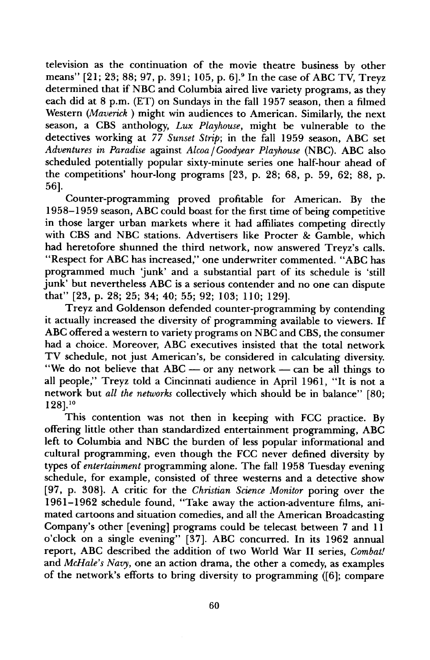**television as the continuation of the movie theatre business by other**  means" [21; 23; 88; 97, p. 391; 105, p. 6].<sup>9</sup> In the case of ABC TV, Treyz **determined that if NBC and Columbia aired live variety programs, as they each did at 8 p.m. (ET) on Sundays in the fall 1957 season, then a filmed Western (Maverick) might win audiences to American. Similarly, the next season, a CBS anthology, Lux Playhouse, might be vulnerable to the detectives working at 77 Sunset Strip; in the fall 1959 season, ABC set Adventures inParadise against Alcoa/Goodyear Playhouse (NBC). ABC also scheduled potentially popular sixty-minute series one half-hour ahead of the competitions' hour-long programs [23, p. 28; 68, p. 59, 62; 88, p. 561.** 

**Counter-programming proved profitable for American. By the 1958-1959 season, ABC could boast for the first time of being competitive in those larger urban markets where it had affiliates competing directly with CBS and NBC stations. Advertisers like Procter & Gamble, which had heretofore shunned the third network, now answered Treyz's calls. "Respect for ABC has increased," one underwriter commented. "ABC has programmed much 'junk' and a substantial part of its schedule is 'still junk' but nevertheless ABC is a serious contender and no one can dispute that" [23, p. 28; 25; 34; 40; 55; 92; 103; 110; 129].** 

**Treyz and Goldenson defended counter-programming by contending it actually increased the diversity of programming available to viewers. If ABC offered a western to variety programs on NBC and CBS, the consumer had a choice. Moreover, ABC executives insisted that the total network TV schedule, not just American's, be considered in calculating diversity.**  "We do not believe that ABC — or any network — can be all things to **all people," Treyz told a Cincinnati audience in April 1961, "It is not a network but all the networks collectively which should be in balance" [80; 128]?** 

**This contention was not then in keeping with FCC practice. By offering little other than standardized entertainment programming, ABC left to Columbia and NBC the burden of less popular informational and cultural programming, even though the FCC never defined diversity by types of entertainment programming alone. The fall 1958 Tuesday evening schedule, for example, consisted of three westerns and a detective show [97, p. 308]. A critic for the Christian Science Monitor poring over the 1961-1962 schedule found, "Take away the action-adventure films, animated cartoons and situation comedies, and all the American Broadcasting Company's other [evening] programs could be telecast between 7 and 11 o'clock on a single evening" [37]. ABC concurred. In its 1962 annual report, ABC described the addition of two World War II series, Combat! and McHale's Navy, one an action drama, the other a comedy, as examples of the network's efforts to bring diversity to programming ([6]; compare**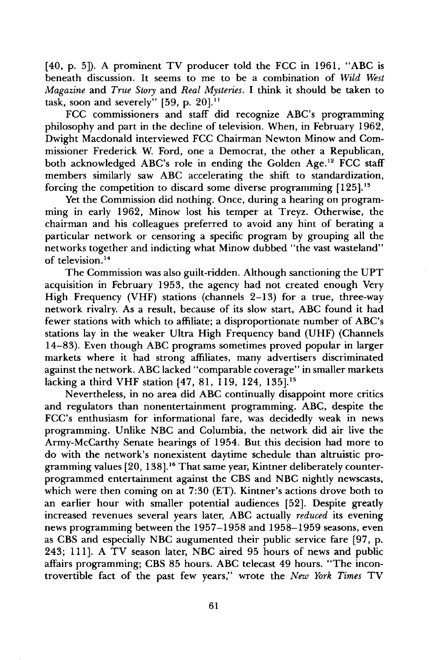**[40, p. 5]). A prominent TV producer told the FCC in 1961, "ABC is beneath discussion. It seems to me to be a combination of Wild West Magazine and True Story and Real Mysteries. I think it should be taken to**  task, soon and severely" [59, p. 20].<sup>11</sup>

**FCC commissioners and staff did recognize ABC's programming philosophy and part in the decline of television. When, in February 1962, Dwight Macdonald interviewed FCC Chairman Newton Minow and Commissioner Frederick W. Ford, one a Democrat, the other a Republican,**  both acknowledged ABC's role in ending the Golden Age.<sup>12</sup> FCC staff **members similarly saw ABC accelerating the shift to standardization, forcing the competition to discard some diverse programming [125]?** 

**Yet the Commission did nothing. Once, during a hearing on programming in early 1962, Minow lost his temper at Treyz. Otherwise, the chairman and his colleagues preferred to avoid any hint of berating a particular network or censoring a specific program by grouping all the networks together and indicting what Minow dubbed "the vast wasteland" of television. 14** 

**The Commission was also guilt-ridden. Although sanctioning the UPT acquisition in February 1953, the agency had not created enough Very High Frequency (VHF) stations (channels 2-13) for a true, three-way network rivalry. As a result, because of its slow start, ABC found it had fewer stations with which to affiliate; a disproportionate number of ABC's stations lay in the weaker Ultra High Frequency band (UHF) (Channels 14-83). Even though ABC programs sometimes proved popular in larger markets where it had strong affiliates, many advertisers discriminated**  against the network. ABC lacked "comparable coverage" in smaller markets **lacking a third VHF station [47, 81, 119, 124, 135]. 15** 

**Nevertheless, in no area did ABC continually disappoint more critics and regulators than nonentertainment programming. ABC, despite the FCC's enthusiasm for informational fare, was decidedly weak in news programming. Unlike NBC and Columbia, the network did air live the Army-McCarthy Senate hearings of 1954. But this decision had more to do with the network's nonexistent daytime schedule than altruistic pro**gramming values [20, 138].<sup>16</sup> That same year, Kintner deliberately counter**programmed entertainment against the CBS and NBC nightly newscasts, which were then coming on at 7:30 (ET). Kintner's actions drove both to an earlier hour with smaller potential audiences [52]. Despite greatly increased revenues several years later, ABC actually reduced its evening news programming between the 1957-1958 and 1958-1959 seasons, even as CBS and especially NBC augumented their public service fare [97, p. 243; 111]. A TV season later, NBC aired 95 hours of news and public affairs programming; CBS 85 hours. ABC telecast 49 hours. "The incontrovertible fact of the past few years," wrote the New York Times TV**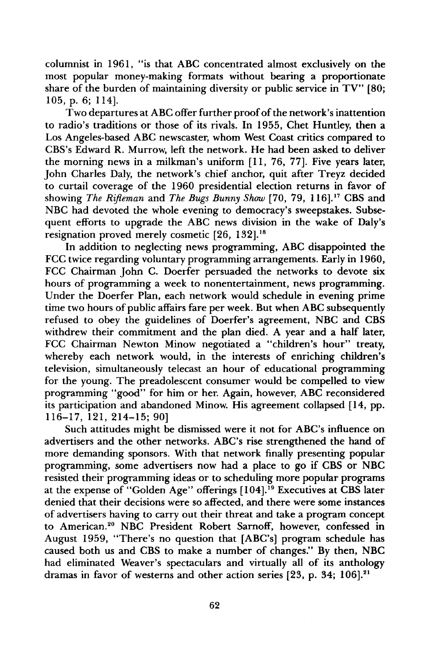**columnist in 1961, "is that ABC concentrated almost exclusively on the most popular money-making formats without bearing a proportionate share of the burden of maintaining diversity or public service in TV" [80; 105, p. 6; 114].** 

**Two departures at ABC offer further proof of the network's inattention to radio's traditions or those of its rivals. In 1955, Chet Huntley, then a Los Angeles-based ABC newscaster, whom West Coast critics compared to CBS's Edward R. Murrow, left the network. He had been asked to deliver the morning news in a milkman's uniform [11, 76, 77]. Five years later, John Charles Daly, the network's chief anchor, quit after Treyz decided to curtail coverage of the 1960 presidential election returns in favor of**  showing The Rifleman and The Bugs Bunny Show [70, 79, 116].<sup>17</sup> CBS and NBC had devoted the whole evening to democracy's sweepstakes. Subse**quent efforts to upgrade the ABC news division in the wake of Daly's resignation proved merely cosmetic [26, 132].18** 

**In addition to neglecting news programming, ABC disappointed the FCC twice regarding voluntary programming arrangements. Early in 1960, FCC Chairman John C. Doerfer persuaded the networks to devote six hours of programming a week to nonentertainment, news programming. Under the Doerfer Plan, each network would schedule in evening prime time two hours of public affairs fare per week. But when ABC subsequently refused to obey the guidelines of Doerfer's agreement, NBC and CBS withdrew their commitment and the plan died. A year and a half later, FCC Chairman Newton Minow negotiated a "children's hour" treaty, whereby each network would, in the interests of enriching children's television, simultaneously telecast an hour of educational programming for the young. The preadolescent consumer would be compelled to view programming "good" for him or her. Again, however, ABC reconsidered its participation and abandoned Minow. His agreement collapsed [14, pp. 116-17, 121, 214-15; 90]** 

**Such attitudes might be dismissed were it not for ABC's influence on advertisers and the other networks. ABC's rise strengthened the hand of more demanding sponsors. With that network finally presenting popular programming, some advertisers now had a place to go if CBS or NBC resisted their programming ideas or to scheduling more popular programs at the expense of "Golden Age" offerings [104]. 19 Executives at CBS later denied that their decisions were so affected, and there were some instances of advertisers having to carry out their threat and take a program concept to American? ø NBC President Robert Sarnoff, however, confessed in August 1959, "There's no question that [ABC's] program schedule has caused both us and CBS to make a number of changes." By then, NBC had eliminated Weaver's spectaculars and virtually all of its anthology dramas in favor of westerns and other action series [23, p. 34; 106]. 21**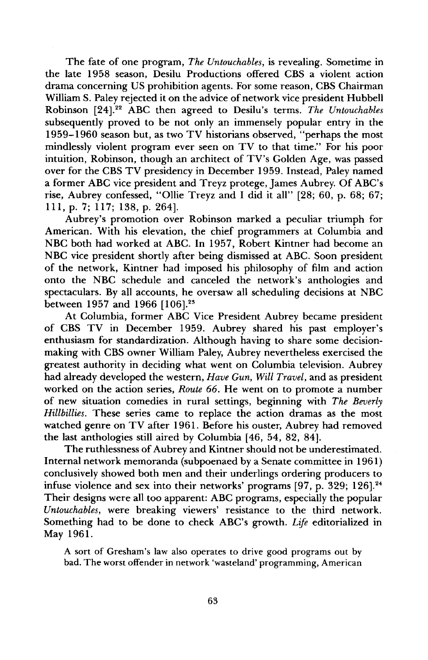The fate of one program, The Untouchables, is revealing. Sometime in **the late 1958 season, Desilu Productions offered CBS a violent action drama concerning US prohibition agents. For some reason, CBS Chairman William S. Paley rejected it on the advice of network vice president Hubbell Robinson [24]. 22 ABC then agreed to Desilu's terms. The Untouchables subsequently proved to be not only an immensely popular entry in the 1959-1960 season but, as two TV historians observed, "perhaps the most mindlessly violent program ever seen on TV to that time." For his poor intuition, Robinson, though an architect of TV's Golden Age, was passed over for the CBS TV presidency in December 1959. Instead, Paley named a former ABC vice president and Treyz protege, James Aubrey. Of ABC's rise, Aubrey confessed, "Ollie Treyz and I did it all" [28; 60, p. 68; 67; 111, p. 7; 117; 138, p. 264].** 

**Aubrey's promotion over Robinson marked a peculiar triumph for American. With his elevation, the chief programmers at Columbia and NBC both had worked at ABC. In 1957, Robert Kintner had become an NBC vice president shortly after being dismissed at ABC. Soon president of the network, Kintner had imposed his philosophy of film and action onto the NBC schedule and canceled the network's anthologies and spectaculars. By all accounts, he oversaw all scheduling decisions at NBC between 1957 and 1966 [106]? s** 

**At Columbia, former ABC Vice President Aubrey became president of CBS TV in December 1959. Aubrey shared his past employer's enthusiasm for standardization. Although having to share some decisionmaking with CBS owner William Paley, Aubrey nevertheless exercised the greatest authority in deciding what went on Columbia television. Aubrey had already developed the western, Have Gun, Will Travel, and as president worked on the action series, Route 66. He went on to promote a number of new situation comedies in rural settings, beginning with The Beverly Hillbillies. These series came to replace the action dramas as the most watched genre on TV after 1961. Before his ouster, Aubrey had removed**  the last anthologies still aired by Columbia [46, 54, 82, 84].

**The ruthlessness of Aubrey and Kintner should not be underestimated. Internal network memoranda (subpoenaed by a Senate committee in 1961) conclusively showed both men and their underlings ordering producers to infuse violence and sex into their networks' programs [97, p. 329; 126]? 4**  Their designs were all too apparent: ABC programs, especially the popular **Untouchables, were breaking viewers' resistance to the third network. Something had to be done to check ABC's growth. Life editorialized in May 1961.** 

**A sort of Gresham's law also operates to drive good programs out by bad. The worst offender in network 'wasteland' programming, American**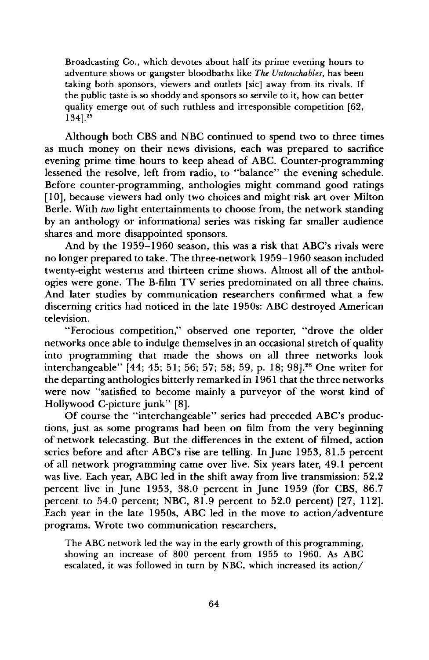**Broadcasting Co., which devotes about half its prime evening hours to adventure shows or gangster bloodbaths like The Untouchables, has been taking both sponsors, viewers and outlets [sic] away from its rivals. If**  the public taste is so shoddy and sponsors so servile to it, how can better **quality emerge out of such ruthless and irresponsible competition [62, 134] ?5** 

**Although both CBS and NBC continued to spend two to three times as much money on their news divisions, each was prepared to sacrifice evening prime time hours to keep ahead of ABC. Counter-programming lessened the resolve, left from radio, to "balance" the evening schedule. Before counter-programming, anthologies might command good ratings [10], because viewers had only two choices and might risk art over Milton Berle. With two light entertainments to choose from, the network standing by an anthology or informational series was risking far smaller audience shares and more disappointed sponsors.** 

**And by the 1959-1960 season, this was a risk that ABC's rivals were no longer prepared to take. The three-network 1959-1960 season included twenty-eight westerns and thirteen crime shows. Almost all of the anthologies were gone. The B-film TV series predominated on all three chains. And later studies by communication researchers confirmed what a few discerning critics had noticed in the late 1950s: ABC destroyed American television.** 

**"Ferocious competition," observed one reporter, "drove the older networks once able to indulge themselves in an occasional stretch of quality into programming that made the shows on all three networks look interchangeable" [44; 45; 51; 56; 57; 58; 59, p. 18; 98]? 6 One writer for the departing anthologies bitterly remarked in 1961 that the three networks were now "satisfied to become mainly a purveyor of the worst kind of Hollywood C-picture junk" [8].** 

**Of course the "interchangeable" series had preceded ABC's productions, just as some programs had been on film from the very beginning of network telecasting. But the differences in the extent of filmed, action series before and after ABC's rise are telling. In June 1953, 81.5 percent of all network programming came over live. Six years later, 49.1 percent was live. Each year, ABC led in the shift away from live transmission: 52.2 percent live in June 1953, 38.0 percent in June 1959 (for CBS, 86.7 percent to 54.0 percent; NBC, 81.9 percent to 52.0 percent) [27, 112]. Each year in the late 1950s, ABC led in the move to action/adventure programs. Wrote two communication researchers,** 

**The ABC network led the way in the early growth of this programming, showing an increase of 800 percent from 1955 to 1960. As ABC escalated, it was followed in turn by NBC, which increased its action/**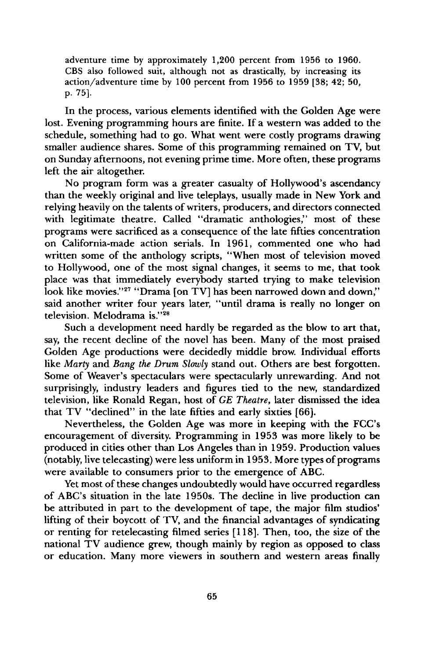**adventure time by approximately 1,200 percent from 1956 to 1960. CBS also followed suit, although not as drastically, by increasing its action/adventure time by 100 percent from 1956 to 1959 [38; 42; 50, p. 75].** 

**In the process, various elements identified with the Golden Age were lost. Evening programming hours are finite. If a western was added to the schedule, something had to go. What went were costly programs drawing smaller audience shares. Some of this programming remained on TV, but on Sunday afternoons, not evening prime time. More often, these programs left the air altogether.** 

**No program form was a greater casualty of Hollywood's ascendancy than the weekly original and live teleplays, usually made in New York and relying heavily on the talents of writers, producers, and directors connected with legitimate theatre. Called "dramatic anthologies," most of these programs were sacrificed as a consequence of the late fifties concentration on California-made action serials. In 1961, commented one who had written some of the anthology scripts, "When most of television moved to Hollywood, one of the most signal changes, it seems to me, that took place was that immediately everybody started trying to make television**  look like movies."<sup>27</sup> "Drama [on TV] has been narrowed down and down," **said another writer four years later, "until drama is really no longer on**  television. Melodrama is."<sup>28</sup>

**Such a development need hardly be regarded as the blow to art that, say, the recent decline of the novel has been. Many of the most praised Golden Age productions were decidedly middle brow. Individual efforts like Marty and Bang the Drum Slowly stand out. Others are best forgotten. Some of Weaver's spectaculars were spectacularly unrewarding. And not surprisingly, industry leaders and figures tied to the new, standardized television, like Ronald Regan, host of GE Theatre, later dismissed the idea that TV "declined" in the late fifties and early sixties [66].** 

**Nevertheless, the Golden Age was more in keeping with the FCC's encouragement of diversity. Programming in 1953 was more likely to be produced in cities other than Los Angeles than in 1959. Production values (notably, live telecasting) were less uniform in 1953. More types of programs were available to consumers prior to the emergence of ABC.** 

**Yet most of these changes undoubtedly would have occurred regardless of ABC's situation in the late 1950s. The decline in live production can be attributed in part to the development of tape, the major film studios' lifting of their boycott of TV, and the financial advantages of syndicating or renting for retelecasting filmed series [118]. Then, too, the size of the national TV audience grew, though mainly by region as opposed to class or education. Many more viewers in southern and western areas finally**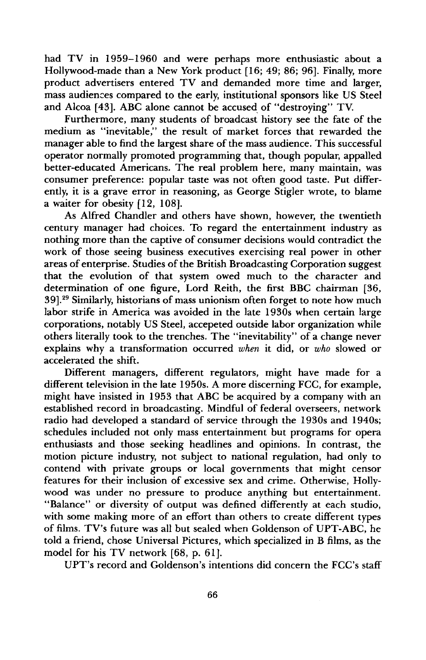**had TV in 1959-1960 and were perhaps more enthusiastic about a Hollywood-made than a New York product [16; 49; 86; 96]. Finally, more product advertisers entered TV and demanded more time and larger, mass audiences compared to the early, institutional sponsors like US Steel and Alcoa [43]. ABC alone cannot be accused of "destroying" TV.** 

**Furthermore, many students of broadcast history see the fate of the medium as "inevitable," the result of market forces that rewarded the manager able to find the largest share of the mass audience. This successful operator normally promoted programming that, though popular, appalled better-educated Americans. The real problem here, many maintain, was consumer preference: popular taste was not often good taste. Put differently, it is a grave error in reasoning, as George Stigler wrote, to blame a waiter for obesity [12, 108].** 

**As Alfred Chandler and others have shown, however, the twentieth century manager had choices. To regard the entertainment industry as**  nothing more than the captive of consumer decisions would contradict the **work of those seeing business executives exercising real power in other areas of enterprise. Studies of the British Broadcasting Corporation suggest that the evolution of that system owed much to the character and determination of one figure, Lord Reith, the first BBC chairman [36, 39]. 29 Similarly, historians of mass unionism often forget to note how much labor strife in America was avoided in the late 1930s when certain large corporations, notably US Steel, accepeted outside labor organization while others literally took to the trenches. The "inevitability" of a change never explains why a transformation occurred when it did, or who slowed or accelerated the shift.** 

**Different managers, different regulators, might have made for a different television in the late 1950s. A more discerning FCC, for example, might have insisted in 1953 that ABC be acquired by a company with an established record in broadcasting. Mindful of federal overseers, network radio had developed a standard of service through the 1930s and 1940s; schedules included not only mass entertainment but programs for opera enthusiasts and those seeking headlines and opinions. In contrast, the motion picture industry, not subject to national regulation, had only to contend with private groups or local governments that might censor features for their inclusion of excessive sex and crime. Otherwise, Hollywood was under no pressure to produce anything but entertainment. "Balance" or diversity of output was defined differently at each studio, with some making more of an effort than others to create different types of films. TV's future was all but sealed when Goldenson of UPT-ABC, he told a friend, chose Universal Pictures, which specialized in B films, as the model for his TV network [68, p. 61].** 

**UPT's record and Goldenson's intentions did concern the FCC's staff**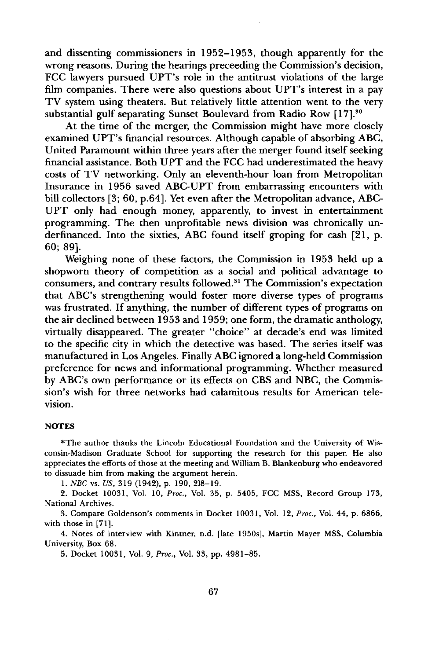**and dissenting commissioners in 1952-1953, though apparently for the wrong reasons. During the hearings preceeding the Commission's decision, FCC lawyers pursued UPT's role in the antitrust violations of the large film companies. There were also questions about UPT's interest in a pay TV system using theaters. But relatively little attention went to the very substantial gulf separating Sunset Boulevard from Radio Row [17]?** 

**At the time of the merger, the Commission might have more closely examined UPT's financial resources. Although capable of absorbing ABC, United Paramount within three years after the merger found itself seeking financial assistance. Both UPT and the FCC had underestimated the heavy costs of TV networking. Only an eleventh-hour loan from Metropolitan Insurance in 1956 saved ABC-UPT from embarrassing encounters with bill collectors [3; 60, p.64]. Yet even after the Metropolitan advance, ABC-UPT only had enough money, apparently, to invest in entertainment programming. The then unprofitable news division was chronically underfinanced. Into the sixties, ABC found itself groping for cash [21, p. 60; 89].** 

**Weighing none of these factors, the Commission in 1953 held up a shopworn theory of competition as a social and political advantage to consumers, and contrary results followed. "• The Commission's expectation that ABC's strengthening would foster more diverse types of programs was frustrated. If anything, the number of different types of programs on the air declined between 1953 and 1959; one form, the dramatic anthology, virtually disappeared. The greater "choice" at decade's end was limited to the specific city in which the detective was based. The series itself was manufactured in Los Angeles. Finally ABC ignored a long-held Commission preference for news and informational programming. Whether measured by ABC's own performance or its effects on CBS and NBC, the Commission's wish for three networks had calamitous results for American television.** 

## **NOTES**

**\*The author thanks the Lincoln Educational Foundation and the University of Wisconsin-Madison Graduate School for supporting the research for this paper. He also appreciates the efforts of those at the meeting and William B. Blankenburg who endeavored to dissuade him from making the argument herein.** 

**1. NBC vs. US, 319 (1942), p. 190, 218-19.** 

**2. Docket 10031, Vol. 10, Proc., Vol. 35, p. 5405, FCC MSS, Record Group 173, National Archives.** 

**3. Compare Goldenson's comments in Docket 10031, Vol. 12, Proc., Vol. 44, p. 6866, with those in [71].** 

**4. Notes of interview with Kintner, n.d. [late 1950s], Martin Mayer MSS, Columbia University, Box 68.** 

**5. Docket 10031, Vol. 9, Proc., Vol. 33, pp. 4981-85.**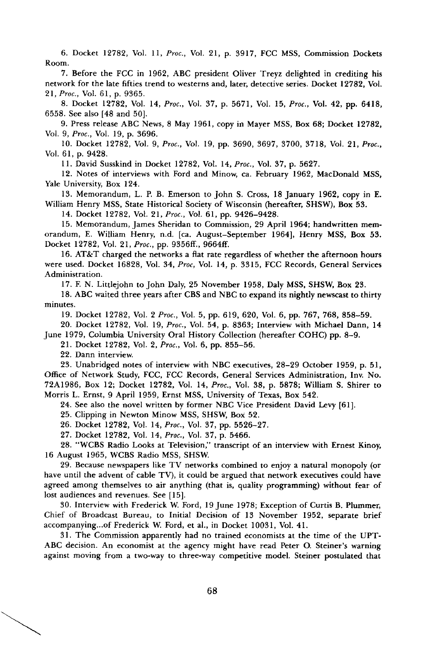**6. Docket 12782, Vol. 11, Proc., Vol. 21, p. 3917, FCC MSS, Commission Dockets Room.** 

**7. Before the FCC in 1962, ABC president Oliver Treyz delighted in crediting his network for the late fifties trend to westerns and, later, detective series. Docket 12782, Vol. 21, Proc., Vol. 61, p. 9365.** 

**8. Docket 12782, Vol. 14, Proc., Vol. 37, p. 5671, Vol. 15, Proc., Vol. 42, pp. 6418, 6558. See also [48 and 50].** 

**9. Press release ABC News, 8 May 1961, copy in Mayer MSS, Box 68; Docket 12782, Vol. 9, Proc., Vol. 19, p. 3696.** 

**10. Docket 12782, Vol. 9, Proc., Vol. 19, pp. 3690, 3697, 3700, 3718, Vol. 21, Proc., Vol. 61, p. 9428.** 

**11. David Susskind in Docket 12782, Vol. 14, Proc., Vol. 37, p. 5627.** 

**12. Notes of interviews with Ford and Minow, ca. February 1962, MacDonald MSS, Yale University, Box 124.** 

**13. Memorandum, L. P. B. Emerson to John S. Cross, 18 January 1962, copy in E. William Henry MSS, State Historical Society of Wisconsin (hereafter, SHSW), Box 53.** 

**14. Docket 12782, Vol. 21, Proc., Vol. 61, pp. 9426-9428.** 

**15. Memorandum, James Sheridan to Commission, 29 April 1964; handwritten memorandum, E. William Henry, n.d. [ca. August-September 1964], Henry MSS, Box 53. Docket 12782, Vol. 21, Proc., pp. 9356ff., 9664ff.** 

**16. AT&T charged the networks a flat rate regardless of whether the afternoon hours were used. Docket 16828, Vol. 34, Proc, Vol. 14, p. 3315, FCC Records, General Services Administration.** 

**17. F. N. Littlejohn to John Daly, 25 November 1958, Daly MSS, SHSW, Box 23.** 

**18. ABC waited three years after CBS and NBC to expand its nightly newscast to thirty minutes.** 

**19. Docket 12782, Vol. 2 Proc., Vol. 5, pp. 619, 620, Vol. 6, pp. 767, 768, 858-59.** 

**20. Docket 12782, Vol. 19, Proc., Vol. 54, p. 8363; Interview with Michael Dann, 14** 

**June 1979, Columbia University Oral History Collection (hereafter COHC) pp. 8-9.** 

**21. Docket 12782, Vol. 2, Proc., Vol. 6, pp. 855-56.** 

**22. Dann interview.** 

**23. Unabridged notes of interview with NBC executives, 28-29 October 1959, p. 51, Office of Network Study, FCC, FCC Records, General Services Administration, Inv. No. 72A1986, Box 12; Docket 12782, Vol. 14, Proc., Vol. 38, p. 5878; William S. Shirer to Morris L. Ernst, 9 April 1959, Ernst MSS, University of Texas, Box 542.** 

**24. See also the novel written by former NBC Vice President David Levy [61].** 

**25. Clipping in Newton Minow MSS, SHSW, Box 52.** 

**26. Docket 12782, Vol. 14, Proc., Vol. 37, pp. 5526-27.** 

**27. Docket 12782, Vol. 14, Proc., Vol. 37, p. 5466.** 

**28. "WCBS Radio Looks at Television," transcript of an interview with Ernest Kinoy, 16 August 1965, WCBS Radio MSS, SHSW.** 

**29. Because newspapers like TV networks combined to enjoy a natural monopoly (or have until the advent of cable TV), it could be argued that network executives could have agreed among themselves to air anything (that is, quality programming) without fear of lost audiences and revenues. See [15].** 

**30. Interview with Frederick W. Ford, 19 June 1978; Exception of Curtis B. Plummer, Chief of Broadcast Bureau, to Initial Decision of 13 November 1952, separate brief accompanying...of Frederick W. Ford, et al., in Docket 10031, Vol. 41.** 

**31. The Commission apparently had no trained economists at the time of the UPT-ABC decision. An economist at the agency might have read Peter O. Steiner's warning against moving from a two-way to three-way competitive model. Steiner postulated that**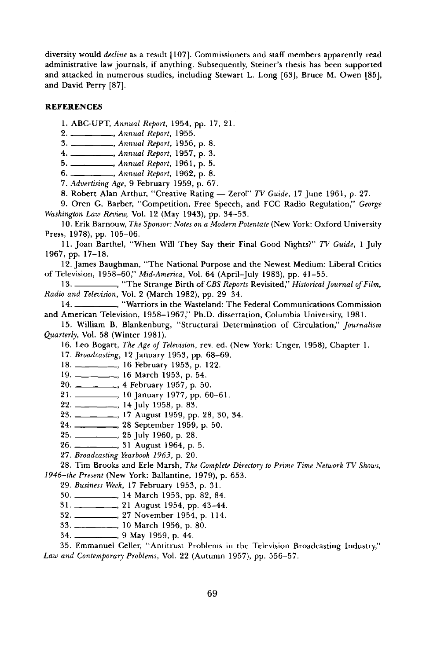**diversity would decline as a result [107]. Commissioners and staff members apparently read administrative law journals, if anything. Subsequently, Steiner's thesis has been supported and attacked in numerous studies, including Stewart L. Long [63], Bruce M. Owen [85], and David Perry [87].** 

## **REFERENCES**

**1. ABC-UPT, Annual Report, 1954, pp. 17, 21.** 

**2. , Annual Report, 1955.** 

**3. ., Annual Report, 1956, p. 8.** 

**4. ., Annual Report, 1957, p. 3.** 

**5. , Annual Report, 1961, p. 5.** 

**6. \_\_\_\_\_\_\_\_\_\_\_,** Annual Report, 1962, p. 8.

**7. Advertising Age, 9 February 1959, p. 67.** 

8. Robert Alan Arthur, "Creative Rating - Zerol" TV Guide, 17 June 1961, p. 27.

**9. Oren G. Barber, "Competition, Free Speech, and FCC Radio Regulation," George Washington Law Review, Vol. 12 (May 1943), pp. 34-53.** 

**10. Erik Barnouw, The Sponsor: Notes on a Modern Potentate (New York: Oxford University Press, 1978), pp. 105-06.** 

**11. Joan Barthel, "When Will They Say their Final Good Nights?" TV Guide, 1 July 1967, pp. 17-18.** 

**12. James Baughman, "The National Purpose and the Newest Medium: Liberal Critics of Television, 1958-60;' Mid-America, Vol. 64 (April-July 1983), pp. 41-55.** 

13. \_\_\_\_\_\_\_\_, "The Strange Birth of CBS Reports Revisited," Historical Journal of Film, **Radio and Television, Vol. 2 (March 1982), pp. 29-34.** 

**14. , "Warriors in the Wasteland: The Federal Communications Commission and American Television, 1958-1967," Ph.D. dissertation, Columbia University, 1981.** 

**15. William B. Blankenburg, "Structural Determination of Circulation," Journalism Quarterly, Vol. 58 (Winter 1981).** 

16. Leo Bogart, The Age of Television, rev. ed. (New York: Unger, 1958), Chapter 1.

17. Broadcasting, 12 January 1953, pp. 68-69.

**18. ., 16 February 1953, p. 122.** 

**19. ., 16 March 1953, p. 54.** 

**20. • 4 February 1957, p. 50.** 

**21. ., 10 January 1977, pp. 60-61.** 

**22. ., 14 July 1958, p. 83.** 

**23. ., 17 August 1959, pp. 28, 30, 34.** 

**24. ., 28 September 1959, p. 50.** 

**25. ., 25 July 1960, p. 28.** 

**26. , 31 August 1964, p. 5.** 

**27. Broadcasting Yearbook 1963, p. 20.** 

**28. Tim Brooks and Erie Marsh, The Complete Directory to Prime Time Network TV Shows, 1946-the Present (New York: Ballantine, 1979), p. 653.** 

**29. Business Week, 17 February 1953, p. 31.** 

**30. , 14 March 1953, pp. 82, 84.** 

**31. , 21 August 1954, pp. 43-44.** 

**32. ß 27 November 1954, p. 114.** 

**33. , 10 March 1956, p. 80.** 

**34. , 9 May 1959, p. 44.** 

**35. Emmanuel Celler, "Antitrust Problems in the Television Broadcasting Industry," Law and Contemporary Problems, Vol. 22 (Autumn 1957), pp. 556-57.**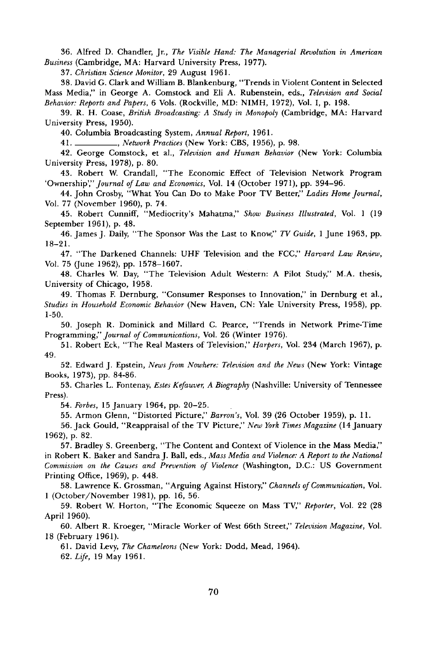**36. Alfred D. Chandler, Jr., The Visible Hand: The Managerial Revolution in American Business (Cambridge, MA: Harvard University Press, 1977).** 

**37. Christian Science Monitor, 29 August 1961.** 

**38. David G. Clark and William B. Blankenburg, "Trends in Violent Content in Selected Mass Media," in George A. Comstock and Eli A. Rubenstein, eds., Television and Social Behavior: Reports and Papers, 6 Vols. (Rockville, MD: NIMH, 1972), Vol. I, p. 198.** 

**39. R. H. Coase, British Broadcasting.' A Study in Monopoly (Cambridge, MA: Harvard University Press, 1950).** 

**40. Columbia Broadcasting System, Annual Report, 1961.** 

**41. ., Network Practices (New York: CBS, 1956), p. 98.** 

**42. George Comstock, et al., Television and Human Behavior (New York: Columbia University Press, 1978), p. 80.** 

**43. Robert W. Crandall, "The Economic Effect of Television Network Program 'Ownership;" Journal of Law and Economics, Vol. 14 (October 197 l), pp. 394-96.** 

**44. John Crosby, "What You Can Do to Make Poor TV Better," Ladies Home Journal, Vol. 77 (November 1960), p. 74.** 

**45. Robert Cunniff, "Mediocrity's Mahatma," Show Business Illustrated, Vol. 1 (19 September 1961), p. 48.** 

**46. James J. Daily, "The Sponsor Was the Last to Know," TV Guide, 1 June 1963, pp. 18-21.** 

**47. "The Darkened Channels: UHF Television and the FCC," Harvard Law Review,**  Vol. 75 (June 1962), pp. 1578–1607.

**48. Charles W. Day, "The Television Adult Western: A Pilot Study," M.A. thesis, University of Chicago, 1958.** 

49. Thomas F. Dernburg, "Consumer Responses to Innovation," in Dernburg et al., **Studies in Household Economic Behavior (New Haven, CN: Yale University Press, 1958), pp. 1-50.** 

**50. Joseph R. Dominick and Millard C. Pearce, "Trends in Network Prime-Time Programming," Journal of Communications, Vol. 26 (Winter 1976).** 

**51. Robert Eck, "The Real Masters of Television," Harpers, Vol. 234 (March 1967), p. 49.** 

**52. Edward J. Epstein, News from Nowhere: Television and the News (New York: Vintage Books, 1973), pp. 84-86.** 

**53. Charles L. Fontenay, Estes Kefauver, ABiography (Nashville: University of Tennessee Press).** 

**54. Forbes, 15 January 1964, pp. 20-25.** 

**55. Armon Glenn, "Distorted Picture," Barron's, Vol. 39 (26 October 1959), p. 11.** 

**56. Jack Gould, "Reappraisal of the TV Picture," New York Times Magazine (14 January 1962), p. 82.** 

**57. Bradley S. Greenberg, "The Content and Context of Violence in the Mass Media," in Robert K. Baker and Sandra J. Ball, eds., Mass Media and Violence: A Report to the National Commission on the Causes and Prevention of Violence (Washington, D.C.: US Government Printing Office, 1969), p. 448.** 

**58. Lawrence K. Grossman, "Arguing Against History," Channels of Communication, Vol. 1 (October/November 1981), pp. 16, 56.** 

**59. Robert W. Horton, "The Economic Squeeze on Mass TV," Reporter, Vol. 22 (28 April 1960).** 

**60. Albert R. Kroeger, "Miracle Worker of West 66th Street," Television Magazine, Vol. 18 (February 1961).** 

**61. David Levy, The Chameleons (New York: Dodd, Mead, 1964).** 

**62. Life, 19 May 1961.**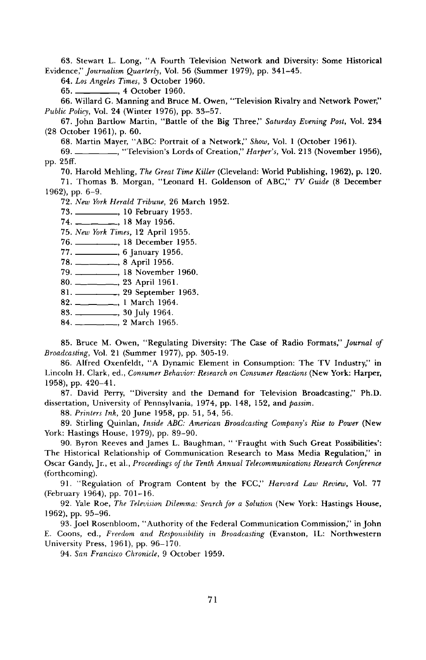**63. Stewart L. Long, "A Fourth Television Network and Diversity: Some Historical Evidence," Journalism Quarterly, Vol. 56 (Summer 1979), pp. 341-45.** 

**64. Los Angeles Times, 3 October 1960.** 

**65. ., 4 October 1960.** 

**66. Willard G. Manning and Bruce M. Owen, "Television Rivalry and Network Power," Public Policy, Vol. 24 (Winter 1976), pp. 33-57.** 

**67. John Bartlow Martin, "Battle of the Big Three," Saturday Evening Post, Vol. 234 (28 October 1961), p. 60.** 

**68. Martin Mayer, "ABC: Portrait of a Network," Show, Vol. 1 (October 1961).** 

**69. ... ... .. .. "Television's Lords of Creation," Harper's, Vol. 213 (November 1956), pp. 25ff.** 

**70. Harold Mehling, The Great Time Killer (Cleveland: World Publishing, 1962), p. 120.** 

**71. Thomas B. Morgan, "Leonard H. Goldenson of ABC," TV Guide (8 December 1962), pp. 6-9.** 

**72. New York Herald Tribune, 26 March 1952.** 

**73. ., 10 February 1953.** 

**74. ., 18 May 1956.** 

**75. New York Times, 12 April 1955.** 

**76. 18 December 1955.** 

**77. ., 6 January 1956.** 

**78. ., 8 April 1956.** 

**79. , 18 November 1960.** 

**80. ., 23 April 1961.** 

**81. , 29 September 1963.** 

82. \_\_\_\_\_\_\_\_\_\_\_\_\_, 1 March 1964.

**83. ., 30 July 1964.** 

**84. ., 2 March 1965.** 

**85. Bruce M. Owen, "Regulating Diversity: The Case of Radio Formats," Journal of Broadcasting, Vol. 21 (Summer 1977), pp. 305-19.** 

**86. Alfred Oxenfeldt, "A Dynamic Element in Consumption: The TV Industry," in Lincoln H. Clark, ed., Consumer Behavior: Research on Consumer Reactions (New York: Harper, 1958), pp. 420-41.** 

**87. David Perry, "Diversity and the Demand for Television Broadcasting," Ph.D. dissertation, University of Pennsylvania, 1974, pp. 148, 152, and passim.** 

**88. Printers Ink, 20 June 1958, pp. 51, 54, 56.** 

**89. Stirling Quinlan, Inside ABC: American Broadcasting Company's Rise to Power (New York: Hastings House, 1979), pp. 89-90.** 

**90. Byron Reeves and James L. Baughman, "'Fraught with Such Great Possibilities': The Historical Relationship of Communication Research to Mass Media Regulation," in Oscar Gandy, Jr., et al., Proceedings of the Tenth Annual Telecommunications Research Conference (forthcoming).** 

**91. "Regulation of Program Content by the FCC," Harvard Law Review, Vol. 77 (February 1964), pp. 701-16.** 

**92. Yale Roe, The Television Dilemma: Search for a Solution (New York: Hastings House, 1962), pp. 95-96.** 

**93. Joel Rosenbloom, "Authority of the Federal Communication Commission," in John E. Coons, ed., Freedom and Responsibility in Broadcasting (Evanston, IL: Northwestern University Press, 1961), pp. 96-170.** 

**94. San Francisco Chronicle, 9 October 1959.**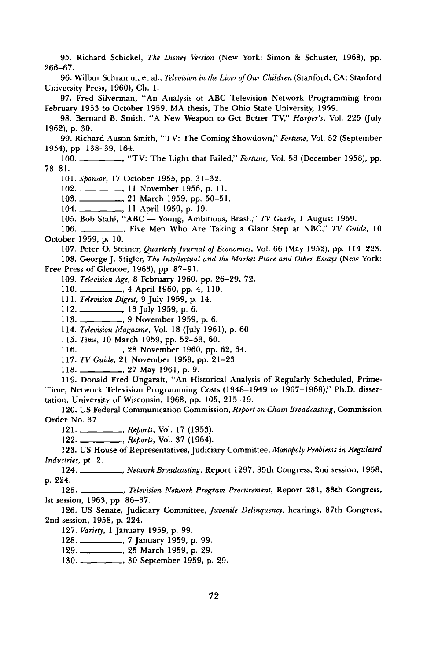**95. Richard Schickel, The Disney Version (New York: Simon & Schuster, 1968), pp. 266-67.** 

**96. Wilbur Schramm, et al., Television in the Lives of Our Children (Stanford, CA: Stanford University Press, 1960), Ch. 1.** 

**97. Fred Silverman, "An Analysis of ABC Television Network Programming from February 1953 to October 1959, MA thesis, The Ohio State University, 1959.** 

**98. Bernard B. Smith, "A New Weapon to Get Better TV," Harper's, Vol. 225 (July 1962), p. 30.** 

**99. Richard Austin Smith, "TV: The Coming Showdown," Fortune, Vol. 52 (September 1954), pp. 138-39, 164.** 

100. \_\_\_\_\_\_\_, "TV: The Light that Failed," Fortune, Vol. 58 (December 1958), pp. **78-81.** 

**101. Sponsor, 17 October 1955, pp. 31-32.** 

**102 ., 11 November 1956, p. 11.** 

**103 , 21 March 1959, pp. 50-51.** 

104. **104. 104. 104. 10. 11 April 1959, p. 19.** 

105. Bob Stahl, "ABC -- Young, Ambitious, Brash," TV Guide, 1 August 1959.

**106. ., Five Men Who Are Taking a Giant Step at NBC," TV Guide, 10 October 1959, p. 10.** 

**107. Peter O. Steiner, Quarterly Journal of Economics, Vol. 66 (May 1952), pp. 114-223.** 

**108. George J. Stigler, The Intellectual and the Market Place and Other Essays (New York: Free Press of Glencoe, 1963), pp. 87-91.** 

**109. Television Age, 8 February 1960, pp. 26-29, 72.** 

**110. , 4 April 1960, pp. 4, 110.** 

**111. Television Digest, 9 July 1959, p. 14.** 

**112. , 13 July 1959, p. 6.** 

**113 , 9 November 1959, p. 6.** 

**114. Television Magazine, Vol. 18 (july 1961), p. 60.** 

**115. Time, 10 March 1959, pp. 52-53, 60.** 

**116. , 28 November 1960, pp. 62, 64.** 

**117. TV Guide, 21 November 1959, pp. 21-23.** 

**118. , 27 May 1961, p. 9.** 

**119. Donald Fred Ungarait, "An Historical Analysis of Regularly Scheduled, Prime-Time, Network Television Programming Costs (1948-1949 to 1967-1968);' Ph.D. dissertation, University of Wisconsin, 1968, pp. 105, 215-19.** 

**120. US Federal Communication Commission, Report on Chain Broadcasting, Commission Order No. 37.** 

121. **...................**, Reports, Vol. 17 (1953).

122. \_\_\_\_\_\_\_\_\_, Reports, Vol. 37 (1964).

123. US House of Representatives, Judiciary Committee, Monopoly Problems in Regulated **Industries, pt. 2.** 

**124. , Network Broadcasting, Report 1297, 85th Congress, 2nd session, 1958, p. 224.** 

**125. ., Television Network Program Procurement, Report 281, 88th Congress, 1st session, 1963, pp. 86-87.** 

**126. US Senate, Judiciary Committee, Juvenile Delinquency, hearings, 87th Congress, 2nd session, 1958, p. 224.** 

**127. Variety, 1 January 1959, p. 99.** 

**128. , 7 January 1959, p. 99.** 

**129. , 25 March 1959, p. 29.** 

130. **Solution**, and the state of products 1959, p. 29.